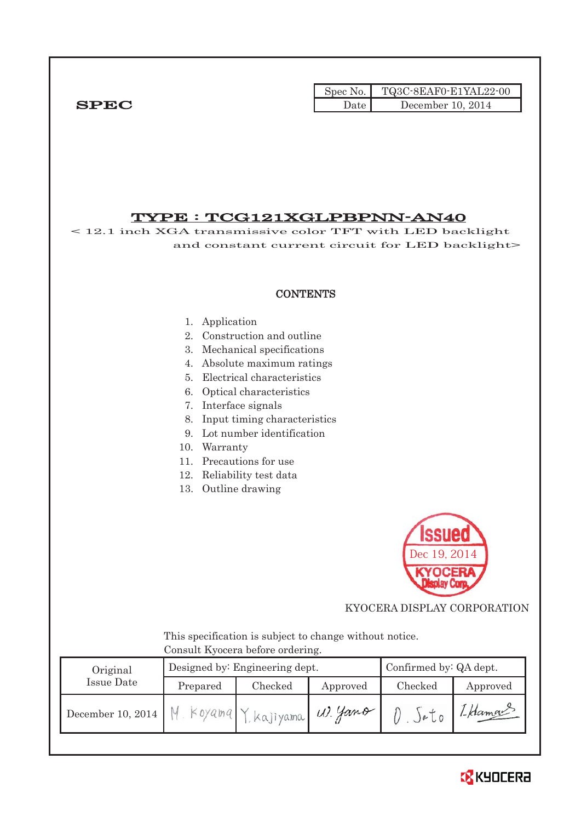|             | Spec No. $\vert \vert$ ' | TQ3C-8EAF0-E1YAL22-00 |
|-------------|--------------------------|-----------------------|
| <b>SPEC</b> | Date                     | December 10, 2014     |

# TYPE : TCG121XGLPBPNN-AN40

< 12.1 inch XGA transmissive color TFT with LED backlight and constant current circuit for LED backlight>

### **CONTENTS**

#### 1. Application

- 2. Construction and outline
- 3. Mechanical specifications
- 4. Absolute maximum ratings
- 5. Electrical characteristics
- 6. Optical characteristics
- 7. Interface signals
- 8. Input timing characteristics
- 9. Lot number identification
- 10. Warranty
- 11. Precautions for use
- 12. Reliability test data
- 13. Outline drawing



KYOCERA DISPLAY CORPORATION

 This specification is subject to change without notice. Consult Kyocera before ordering.

| Original          |           | Designed by: Engineering dept. | Confirmed by: QA dept. |                |          |
|-------------------|-----------|--------------------------------|------------------------|----------------|----------|
| Issue Date        | Prepared  | Checked                        | Approved               | Checked        | Approved |
| December 10, 2014 | M. Koyama | Kkajiyama W. Yamo              |                        | e <sub>0</sub> | 1-Hamou  |

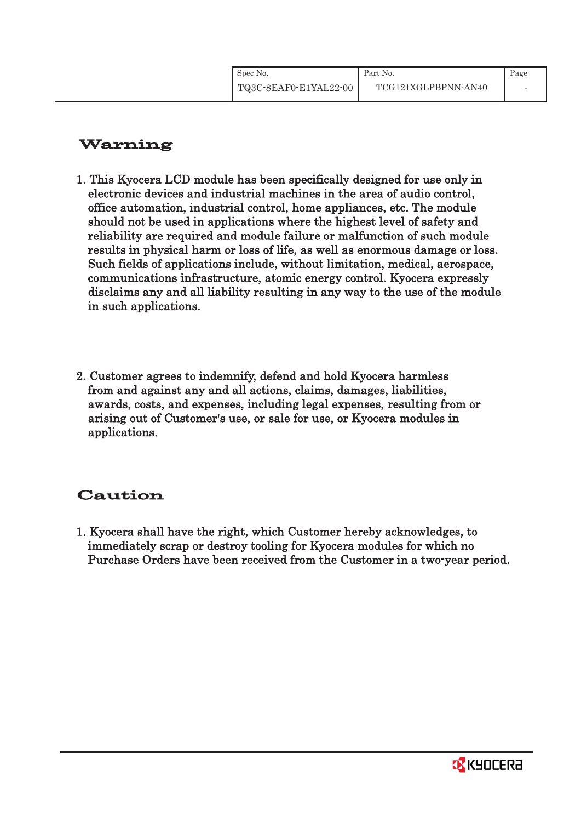| Spec No.              | Part No.            | Page |
|-----------------------|---------------------|------|
| TQ3C-8EAF0-E1YAL22-00 | TCG121XGLPBPNN-AN40 |      |

# Warning

- 1. This Kyocera LCD module has been specifically designed for use only in electronic devices and industrial machines in the area of audio control, office automation, industrial control, home appliances, etc. The module should not be used in applications where the highest level of safety and reliability are required and module failure or malfunction of such module results in physical harm or loss of life, as well as enormous damage or loss. Such fields of applications include, without limitation, medical, aerospace, communications infrastructure, atomic energy control. Kyocera expressly disclaims any and all liability resulting in any way to the use of the module in such applications.
- 2. Customer agrees to indemnify, defend and hold Kyocera harmless from and against any and all actions, claims, damages, liabilities, awards, costs, and expenses, including legal expenses, resulting from or arising out of Customer's use, or sale for use, or Kyocera modules in applications.

# Caution

1. Kyocera shall have the right, which Customer hereby acknowledges, to immediately scrap or destroy tooling for Kyocera modules for which no Purchase Orders have been received from the Customer in a two-year period.

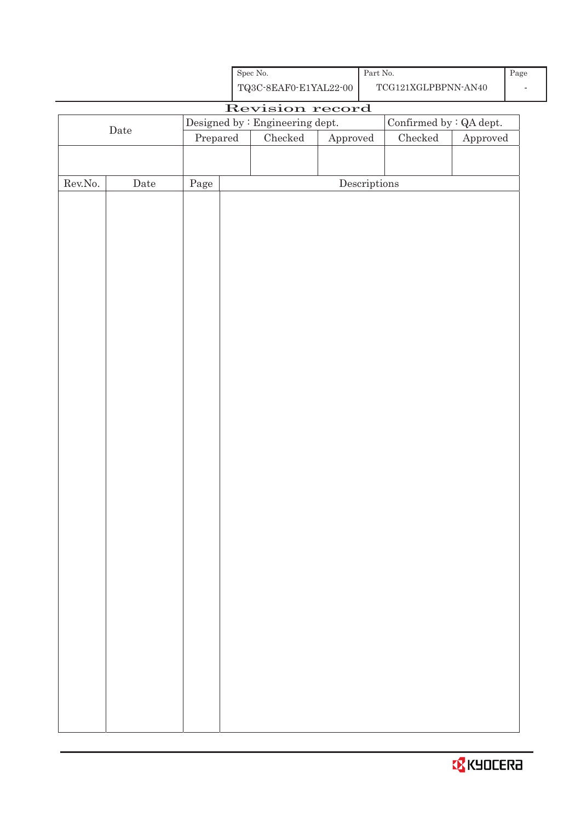| Spec No.              | Part No. |
|-----------------------|----------|
| TQ3C-8EAF0-E1YAL22-00 | TCG1     |

| Revision record<br>$\label{eq:besigneq} \text{Designed by : Engineering dept.}$<br>Confirmed by $\colon$ QA dept.<br>$\rm{Date}$<br>$C$ hecked<br>$\rm Checked$<br>Prepared<br>${\Large\bf Approved}$<br>Approved<br>${\rm Rev. No.}$<br>$\rm{\textbf{Date}}$<br>$\label{eq:2} \textbf{Descriptions}$<br>Page |  |  |  |  |
|---------------------------------------------------------------------------------------------------------------------------------------------------------------------------------------------------------------------------------------------------------------------------------------------------------------|--|--|--|--|
|                                                                                                                                                                                                                                                                                                               |  |  |  |  |
|                                                                                                                                                                                                                                                                                                               |  |  |  |  |
|                                                                                                                                                                                                                                                                                                               |  |  |  |  |
|                                                                                                                                                                                                                                                                                                               |  |  |  |  |
|                                                                                                                                                                                                                                                                                                               |  |  |  |  |
|                                                                                                                                                                                                                                                                                                               |  |  |  |  |
|                                                                                                                                                                                                                                                                                                               |  |  |  |  |
|                                                                                                                                                                                                                                                                                                               |  |  |  |  |
|                                                                                                                                                                                                                                                                                                               |  |  |  |  |
|                                                                                                                                                                                                                                                                                                               |  |  |  |  |
|                                                                                                                                                                                                                                                                                                               |  |  |  |  |
|                                                                                                                                                                                                                                                                                                               |  |  |  |  |
|                                                                                                                                                                                                                                                                                                               |  |  |  |  |
|                                                                                                                                                                                                                                                                                                               |  |  |  |  |
|                                                                                                                                                                                                                                                                                                               |  |  |  |  |
|                                                                                                                                                                                                                                                                                                               |  |  |  |  |
|                                                                                                                                                                                                                                                                                                               |  |  |  |  |
|                                                                                                                                                                                                                                                                                                               |  |  |  |  |
|                                                                                                                                                                                                                                                                                                               |  |  |  |  |
|                                                                                                                                                                                                                                                                                                               |  |  |  |  |
|                                                                                                                                                                                                                                                                                                               |  |  |  |  |
|                                                                                                                                                                                                                                                                                                               |  |  |  |  |
|                                                                                                                                                                                                                                                                                                               |  |  |  |  |
|                                                                                                                                                                                                                                                                                                               |  |  |  |  |
|                                                                                                                                                                                                                                                                                                               |  |  |  |  |
|                                                                                                                                                                                                                                                                                                               |  |  |  |  |
|                                                                                                                                                                                                                                                                                                               |  |  |  |  |
|                                                                                                                                                                                                                                                                                                               |  |  |  |  |
|                                                                                                                                                                                                                                                                                                               |  |  |  |  |
|                                                                                                                                                                                                                                                                                                               |  |  |  |  |
|                                                                                                                                                                                                                                                                                                               |  |  |  |  |
|                                                                                                                                                                                                                                                                                                               |  |  |  |  |
|                                                                                                                                                                                                                                                                                                               |  |  |  |  |
|                                                                                                                                                                                                                                                                                                               |  |  |  |  |
|                                                                                                                                                                                                                                                                                                               |  |  |  |  |
|                                                                                                                                                                                                                                                                                                               |  |  |  |  |
|                                                                                                                                                                                                                                                                                                               |  |  |  |  |
|                                                                                                                                                                                                                                                                                                               |  |  |  |  |
|                                                                                                                                                                                                                                                                                                               |  |  |  |  |

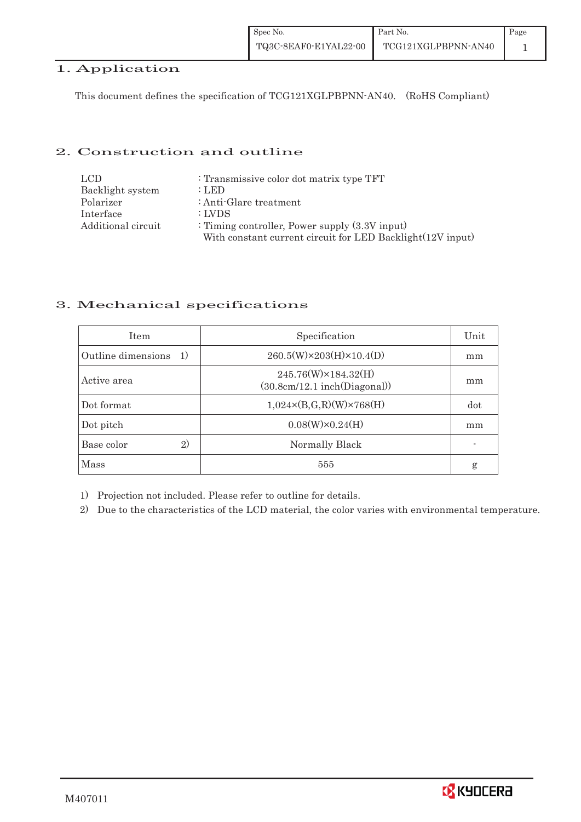# 1. Application

This document defines the specification of TCG121XGLPBPNN-AN40. (RoHS Compliant)

### 2. Construction and outline

| LCD.               | : Transmissive color dot matrix type TFT                   |
|--------------------|------------------------------------------------------------|
| Backlight system   | $:$ LED                                                    |
| Polarizer          | : Anti-Glare treatment                                     |
| Interface          | : LVDS                                                     |
| Additional circuit | : Timing controller, Power supply $(3.3V)$ input)          |
|                    | With constant current circuit for LED Backlight(12V input) |

## 3. Mechanical specifications

| <b>Item</b>                        | Specification                                       | Unit |
|------------------------------------|-----------------------------------------------------|------|
| Outline dimensions<br><sup>1</sup> | $260.5(W)\times 203(H)\times 10.4(D)$               | mm   |
| Active area                        | 245.76(W)×184.32(H)<br>(30.8cm/12.1~inch(Diagonal)) | mm   |
| Dot format                         | $1,024 \times (B,G,R)(W) \times 768(H)$             | dot  |
| Dot pitch                          | $0.08(W)\times0.24(H)$                              | mm   |
| Base color<br>2)                   | Normally Black                                      |      |
| Mass                               | 555                                                 | g    |

1) Projection not included. Please refer to outline for details.

2) Due to the characteristics of the LCD material, the color varies with environmental temperature.

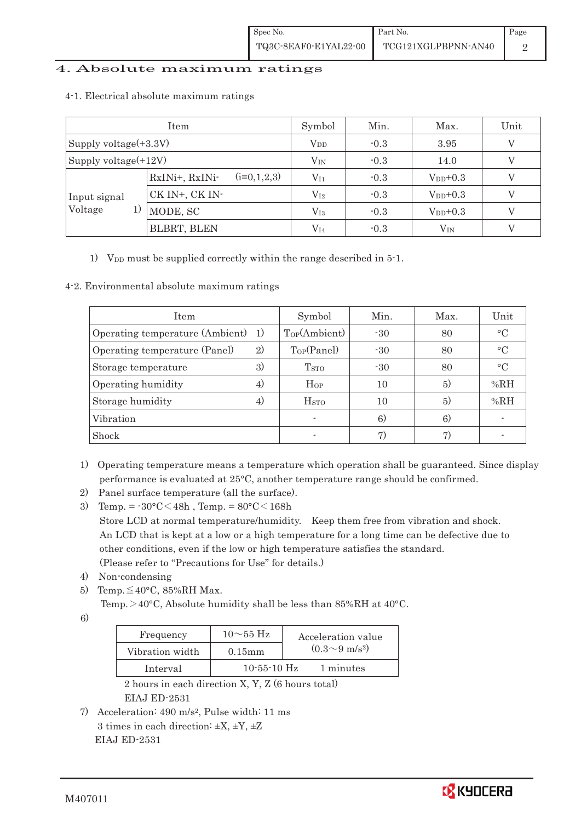## 4. Absolute maximum ratings

| Item                     |                                 | Symbol       | Min.   | Max.          | Unit |
|--------------------------|---------------------------------|--------------|--------|---------------|------|
| Supply voltage $(+3.3V)$ |                                 | $\rm V_{DD}$ | $-0.3$ | 3.95          | V    |
| Supply voltage(+12V)     |                                 | $V_{\rm IN}$ | $-0.3$ | 14.0          |      |
|                          | $(i=0,1,2,3)$<br>RxINi+, RxINi- | $\rm V_{I1}$ | $-0.3$ | $V_{DD}$ +0.3 |      |
| Input signal             | CK IN+, CK IN-                  | $\rm V_{I2}$ | $-0.3$ | $V_{DD}$ +0.3 |      |
| Voltage<br>1)            | MODE, SC                        | $\rm V_{I3}$ | $-0.3$ | $V_{DD}$ +0.3 |      |
|                          | BLBRT, BLEN                     | $V_{I4}$     | $-0.3$ | $\rm V_{IN}$  |      |

#### 4-1.Electrical absolute maximum ratings

1) V<sub>DD</sub> must be supplied correctly within the range described in 5-1.

#### 4-2. Environmental absolute maximum ratings

| Item                               |    | Symbol                   | Min.  | Max. | Unit            |
|------------------------------------|----|--------------------------|-------|------|-----------------|
| Operating temperature (Ambient) 1) |    | Top(Ambient)             | $-30$ | 80   | $\circ$ C       |
| Operating temperature (Panel)      | 2) | Top(Panel)               | $-30$ | 80   | $\circ$ C       |
| Storage temperature                | 3) | <b>T</b> <sub>STO</sub>  | $-30$ | 80   | $\rm ^{\circ}C$ |
| Operating humidity                 | 4) | $H_{OP}$                 | 10    | (5)  | %RH             |
| Storage humidity                   | 4) | H <sub>STO</sub>         | 10    | 5)   | %RH             |
| Vibration                          |    | $\overline{\phantom{a}}$ | 6)    | 6)   |                 |
| Shock                              |    |                          | 7)    |      |                 |

- 1) Operating temperature means a temperature which operation shall be guaranteed. Since display performance is evaluated at 25°C, another temperature range should be confirmed.
- 2) Panel surface temperature (all the surface).
- 3) Temp. =  $-30^{\circ}$ C $<$ 48h, Temp. =  $80^{\circ}$ C $<$ 168h Store LCD at normal temperature/humidity. Keep them free from vibration and shock. An LCD that is kept at a low or a high temperature for a long time can be defective due to other conditions, even if the low or high temperature satisfies the standard. (Please refer to "Precautions for Use" for details.)
- 4) Non-condensing
- 5) Temp. $\leq 40^{\circ}$ C, 85%RH Max.

Temp.  $>$  40°C, Absolute humidity shall be less than 85%RH at 40°C.

6)

| Frequency       | $10\sim 55$ Hz    | Acceleration value           |
|-----------------|-------------------|------------------------------|
| Vibration width | $0.15$ m m        | $(0.3 \sim 9 \text{ m/s}^2)$ |
| Interval        | $10 - 55 - 10$ Hz | 1 minutes                    |

 2 hours in each direction X, Y, Z (6 hours total) EIAJ ED-2531

7) Acceleration: 490 m/s2, Pulse width: 11 ms 3 times in each direction:  $\pm X$ ,  $\pm Y$ ,  $\pm Z$ EIAJ ED-2531

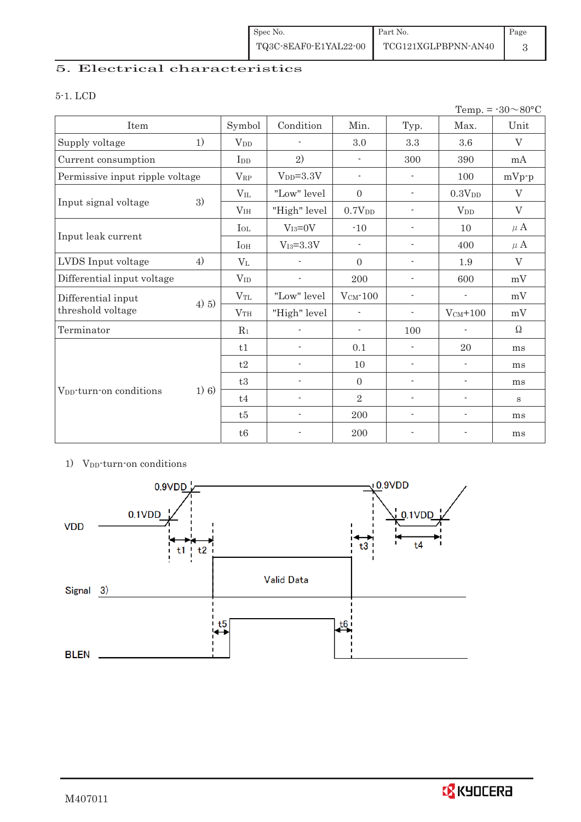| Spec No.              | Part No.            | Page |
|-----------------------|---------------------|------|
| TQ3C-8EAF0-E1YAL22-00 | TCG121XGLPBPNN-AN40 |      |

# 5. Electrical characteristics

### 5-1. LCD

|                                     |         |                 |                          |                          |                          |                          | Temp. = $-30 \sim 80$ °C |
|-------------------------------------|---------|-----------------|--------------------------|--------------------------|--------------------------|--------------------------|--------------------------|
| Item                                |         | Symbol          | Condition                | Min.                     | Typ.                     | Max.                     | Unit                     |
| Supply voltage                      | 1)      | V <sub>DD</sub> | $\overline{\phantom{a}}$ | 3.0                      | 3.3                      | 3.6                      | $\rm V$                  |
| Current consumption                 |         | I <sub>DD</sub> | 2)                       | $\overline{\phantom{a}}$ | 300                      | 390                      | mA                       |
| Permissive input ripple voltage     |         | $V_{RP}$        | $V_{DD}=3.3V$            | $\overline{\phantom{a}}$ | $\overline{\phantom{a}}$ | 100                      | $mVp-p$                  |
|                                     |         | $V_{IL}$        | "Low" level              | $\boldsymbol{0}$         | $\overline{\phantom{a}}$ | 0.3V <sub>DD</sub>       | $\boldsymbol{\nabla}$    |
| Input signal voltage                | 3)      | V <sub>IH</sub> | "High" level             | 0.7V <sub>DD</sub>       | $\overline{a}$           | $V_{DD}$                 | V                        |
|                                     |         | $I_{OL}$        | $V_{I3}=0V$              | $-10$                    | $\overline{\phantom{a}}$ | 10                       | $\mu$ A                  |
| Input leak current                  |         | $I_{OH}$        | $V_{I3}=3.3V$            | $\overline{\phantom{a}}$ | $\overline{\phantom{a}}$ | 400                      | $\mu$ A                  |
| LVDS Input voltage                  | 4)      | $V_{L}$         |                          | $\mathbf{0}$             | $\overline{\phantom{a}}$ | 1.9                      | V                        |
| Differential input voltage          |         | $V_{ID}$        | $\overline{\phantom{a}}$ | 200                      | $\overline{\phantom{a}}$ | 600                      | mV                       |
| Differential input                  | 4) 5)   | $V_{TL}$        | "Low" level              | $VCM$ -100               | $\overline{\phantom{a}}$ | $\overline{\phantom{a}}$ | mV                       |
| threshold voltage                   |         | V <sub>TH</sub> | "High" level             | $\overline{\phantom{0}}$ | $\overline{\phantom{a}}$ | $V_{CM}$ +100            | mV                       |
| Terminator                          |         | $R_1$           |                          | $\overline{\phantom{a}}$ | 100                      |                          | Ω                        |
|                                     |         | t1              | ÷                        | 0.1                      | $\overline{\phantom{a}}$ | 20                       | ms                       |
|                                     |         | t2              | $\overline{\phantom{a}}$ | 10                       | $\overline{\phantom{a}}$ | $\overline{\phantom{a}}$ | ms                       |
|                                     |         | t3              | $\overline{\phantom{a}}$ | $\mathbf{0}$             | $\overline{\phantom{a}}$ | $\overline{\phantom{a}}$ | ms                       |
| V <sub>DD</sub> -turn-on conditions | $1)$ 6) | t4              | $\overline{\phantom{a}}$ | $\overline{2}$           | $\overline{a}$           | $\overline{\phantom{a}}$ | S                        |
|                                     |         | t5              | $\overline{\phantom{a}}$ | 200                      | $\overline{\phantom{a}}$ | $\overline{\phantom{a}}$ | ms                       |
|                                     |         | t6              | $\overline{\phantom{a}}$ | 200                      | $\overline{a}$           | $\overline{\phantom{a}}$ | ms                       |

## 1) V<sub>DD</sub>-turn-on conditions

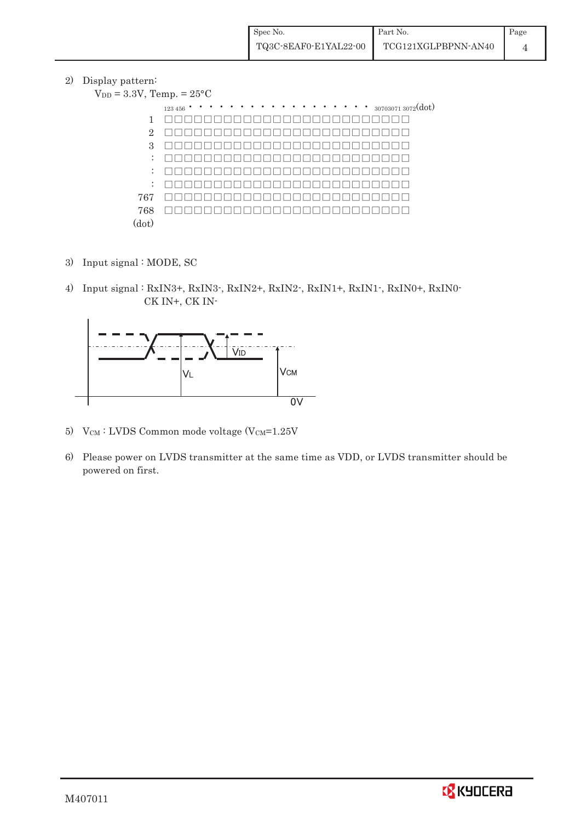2) Display pattern:

| $V_{DD} = 3.3V$ , Temp. = $25^{\circ}$ C |                                                     |
|------------------------------------------|-----------------------------------------------------|
|                                          | $\cdots$ $\cdots$ $_{307030713072}(dot)$<br>123 456 |
| 1                                        |                                                     |
| $\overline{2}$                           |                                                     |
| 3                                        |                                                     |
| $\ddot{\phantom{a}}$                     |                                                     |
| $\ddot{\phantom{a}}$                     |                                                     |
| $\ddot{\phantom{a}}$                     |                                                     |
| 767                                      |                                                     |
| 768                                      |                                                     |
| (dot)                                    |                                                     |

- 3) Input signal : MODE, SC
- 4) Input signal : RxIN3+, RxIN3-, RxIN2+, RxIN2-, RxIN1+, RxIN1-, RxIN0+, RxIN0- CK IN+, CK IN-



- 5) V $_{\text{CM}}$ : LVDS Common mode voltage (V $_{\text{CM}}$ =1.25V
- 6) Please power on LVDS transmitter at the same time as VDD, or LVDS transmitter should be powered on first.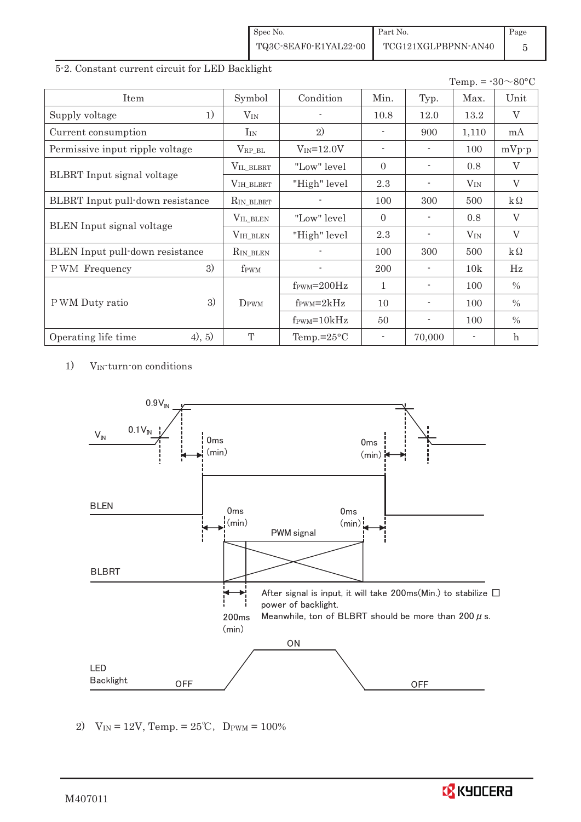| Spec No.              | Part No.            | Page |
|-----------------------|---------------------|------|
| TQ3C-8EAF0-E1YAL22-00 | TCG121XGLPBPNN-AN40 |      |

#### 5-2. Constant current circuit for LED Backlight

|                                   |                  |                               |                          |                          | Temp. = $-30 \sim 80$ °C |                           |
|-----------------------------------|------------------|-------------------------------|--------------------------|--------------------------|--------------------------|---------------------------|
| Item                              | Symbol           | Condition                     | Min.                     | Typ.                     | Max.                     | Unit                      |
| 1)<br>Supply voltage              | $V_{IN}$         |                               | 10.8                     | 12.0                     | 13.2                     | V                         |
| Current consumption               | $I_{IN}$         | 2)                            |                          | 900                      | 1,110                    | mA                        |
| Permissive input ripple voltage   | $V_{RP\_BL}$     | $V_{IN} = 12.0V$              | $\sim$                   | $\overline{\phantom{a}}$ | 100                      | $mVp-p$                   |
|                                   | VIL_BLBRT        | "Low" level                   | $\Omega$                 |                          | 0.8                      | V                         |
| <b>BLBRT</b> Input signal voltage | VIH_BLBRT        | "High" level                  | 2.3                      |                          | $V_{IN}$                 | $\rm V$                   |
| BLBRT Input pull-down resistance  | $R_{IN_BLEBRT}$  |                               | 100                      | 300                      | 500                      | $k\Omega$                 |
|                                   | VIL_BLEN         | "Low" level"                  | $\Omega$                 |                          | 0.8                      | V                         |
| <b>BLEN</b> Input signal voltage  | VIH_BLEN         | "High" level                  | 2.3                      |                          | $V_{\rm IN}$             | $\rm V$                   |
| BLEN Input pull-down resistance   | $R_{IN\_BLEN}$   |                               | 100                      | 300                      | 500                      | $k\Omega$                 |
| 3)<br>PWM Frequency               | f <sub>PWM</sub> |                               | 200                      |                          | 10k                      | Hz                        |
|                                   |                  | $f_{\text{PWM}}=200\text{Hz}$ | 1                        |                          | 100                      | $\%$                      |
| 3)<br>P WM Duty ratio             | DPWM             | $f_{\text{PWM}}=2kHz$         | 10                       |                          | 100                      | $\%$                      |
|                                   |                  | $f_{\text{PWM}} = 10kHz$      | 50                       | $\overline{\phantom{a}}$ | 100                      | $\%$                      |
| (4), 5)<br>Operating life time    | T                | Temp.= $25^{\circ}$ C         | $\overline{\phantom{a}}$ | 70,000                   |                          | $\boldsymbol{\mathrm{h}}$ |

1) VIN-turn-on conditions



2)  $V_{IN} = 12V$ , Temp. =  $25^{\circ}C$ , D<sub>PWM</sub> =  $100\%$ 

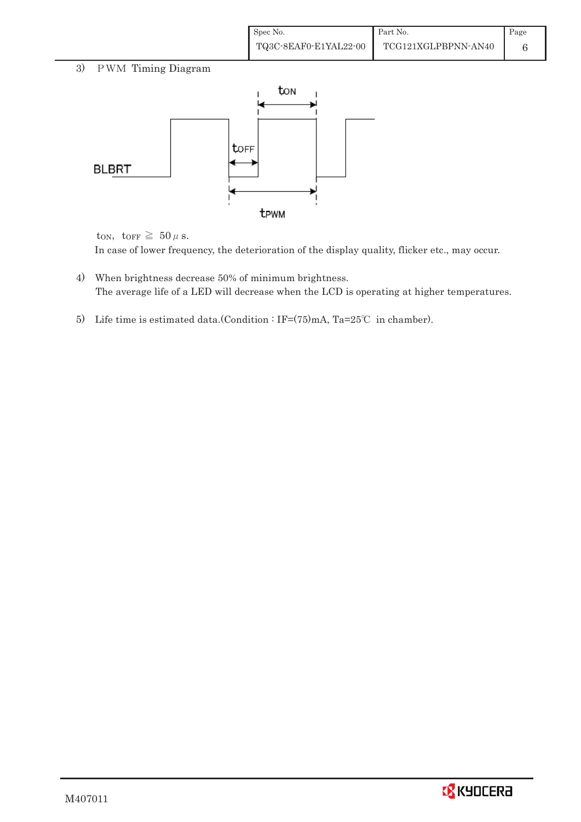| Spec No.              | Part No.            | Page |
|-----------------------|---------------------|------|
| TQ3C-8EAF0-E1YAL22-00 | TCG121XGLPBPNN-AN40 |      |

# 3) PWM Timing Diagram



ton, torr  $\geq 50 \,\mu$  s.

In case of lower frequency, the deterioration of the display quality, flicker etc., may occur.

- 4) When brightness decrease 50% of minimum brightness. The average life of a LED will decrease when the LCD is operating at higher temperatures.
- 5) Life time is estimated data.(Condition : IF= $(75)$ mA, Ta=25°C in chamber).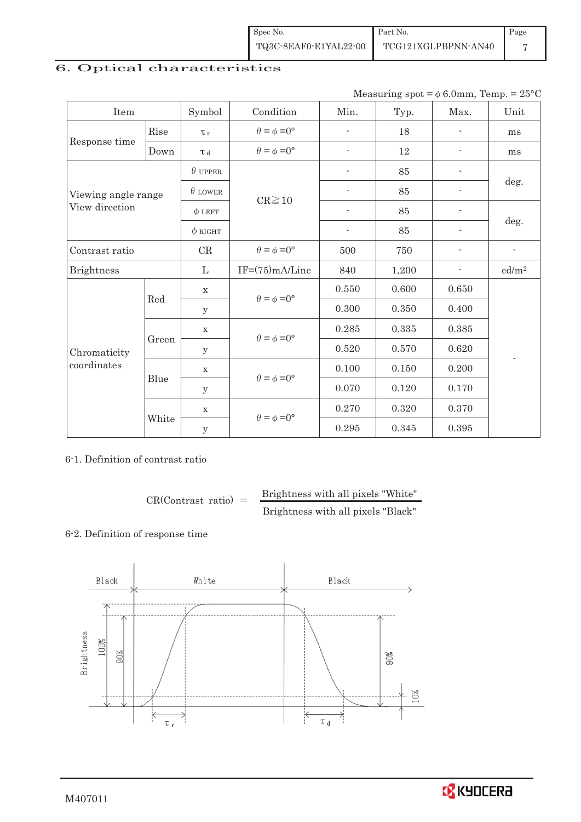| Spec No.              | Part No.            | Page |
|-----------------------|---------------------|------|
| TQ3C-8EAF0-E1YAL22-00 | TCG121XGLPBPNN-AN40 |      |

# 6. Optical characteristics

Measuring  $spot = \phi 6.0$ mm, Temp. = 25°C

| Item                |       | Symbol         | Condition                   | Min.                     | Typ.  | Max.                     | Unit                     |  |
|---------------------|-------|----------------|-----------------------------|--------------------------|-------|--------------------------|--------------------------|--|
|                     | Rise  | $\tau_r$       | $\theta = \phi = 0^{\circ}$ | ٠                        | 18    |                          | ms                       |  |
| Response time       | Down  | L <sub>d</sub> | $\theta = \phi = 0^{\circ}$ | $\overline{\phantom{a}}$ | 12    | $\overline{\phantom{a}}$ | ms                       |  |
|                     |       | $\theta$ upper |                             | $\overline{\phantom{0}}$ | 85    | $\overline{\phantom{0}}$ | deg.                     |  |
| Viewing angle range |       | $\theta$ LOWER | $CR \ge 10$                 | $\overline{\phantom{0}}$ | 85    | $\overline{\phantom{0}}$ |                          |  |
| View direction      |       | $\phi$ LEFT    |                             | $\overline{\phantom{a}}$ | 85    | $\overline{\phantom{a}}$ |                          |  |
|                     |       | $\phi$ RIGHT   |                             | $\blacksquare$           | 85    | $\overline{\phantom{0}}$ | deg.                     |  |
| Contrast ratio      |       | CR             | $\theta = \phi = 0^{\circ}$ | 500                      | 750   |                          | $\overline{\phantom{a}}$ |  |
| <b>Brightness</b>   |       | $\mathbf{L}$   | $IF=(75)mA/Line$            | 840                      | 1,200 | ۰                        | cd/m <sup>2</sup>        |  |
|                     | Red   | X              | $\theta = \phi = 0^{\circ}$ | 0.550                    | 0.600 | 0.650                    |                          |  |
|                     |       | У              |                             | 0.300                    | 0.350 | 0.400                    |                          |  |
|                     | Green | $\mathbf X$    | $\theta = \phi = 0^{\circ}$ | 0.285                    | 0.335 | 0.385                    |                          |  |
| Chromaticity        |       | У              |                             | 0.520                    | 0.570 | 0.620                    | $\overline{\phantom{a}}$ |  |
| coordinates         |       | $\mathbf X$    |                             | 0.100                    | 0.150 | 0.200                    |                          |  |
|                     | Blue  | y              | $\theta = \phi = 0^{\circ}$ | 0.070                    | 0.120 | 0.170                    |                          |  |
|                     |       | $\mathbf X$    |                             | 0.270                    | 0.320 | 0.370                    |                          |  |
|                     | White | y              | $\theta = \phi = 0^{\circ}$ | 0.295                    | 0.345 | 0.395                    |                          |  |

6-1. Definition of contrast ratio

 $CR(Contrast ratio) =$  Brightness with all pixels "White" Brightness with all pixels "Black"

### 6-2. Definition of response time



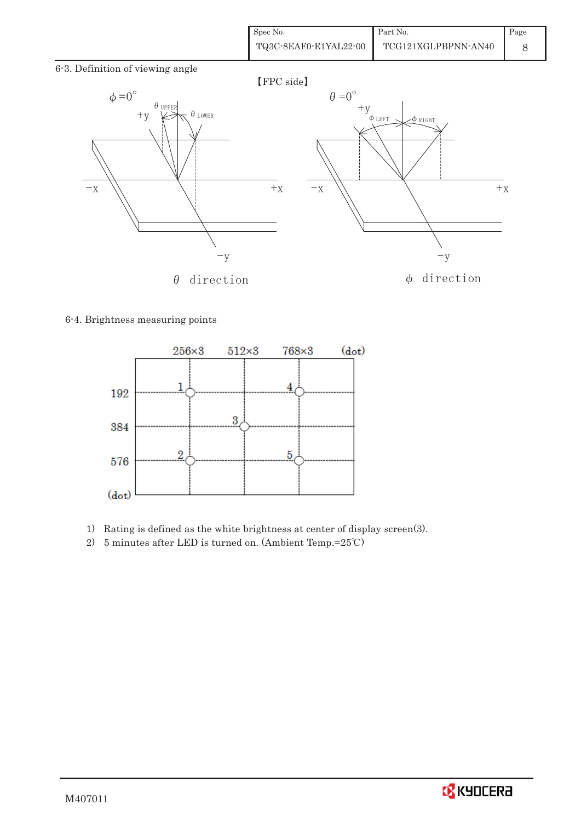| Spec No.              | Part No.            | Page |
|-----------------------|---------------------|------|
| TQ3C-8EAF0-E1YAL22-00 | TCG121XGLPBPNN-AN40 |      |

6-3. Definition of viewing angle



### 6-4. Brightness measuring points



- 1) Rating is defined as the white brightness at center of display screen(3).
- 2) 5 minutes after LED is turned on. (Ambient Temp.= $25^{\circ}$ C)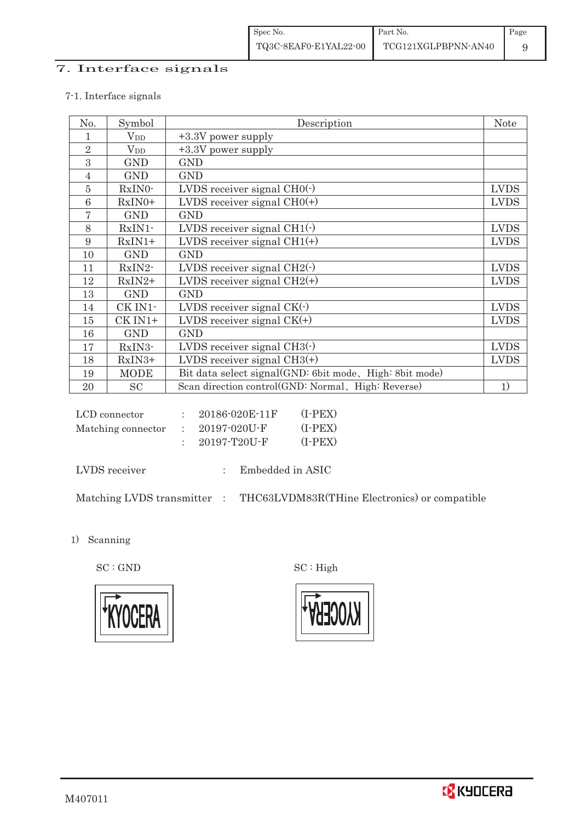## 7. Interface signals

### 7-1. Interface signals

| No.            | Symbol       | Description                                             | <b>Note</b> |
|----------------|--------------|---------------------------------------------------------|-------------|
|                | $\rm V_{DD}$ | +3.3V power supply                                      |             |
| $\overline{2}$ | $\rm V_{DD}$ | +3.3V power supply                                      |             |
| 3              | <b>GND</b>   | <b>GND</b>                                              |             |
| $\overline{4}$ | <b>GND</b>   | <b>GND</b>                                              |             |
| 5              | RxIN0-       | LVDS receiver signal $CHO(·)$                           | <b>LVDS</b> |
| 6              | $RxIN0+$     | LVDS receiver signal $CHO(+)$                           | <b>LVDS</b> |
| 7              | <b>GND</b>   | <b>GND</b>                                              |             |
| 8              | $RxIN1$ -    | LVDS receiver signal $CH1(\cdot)$                       | <b>LVDS</b> |
| 9              | $RxIN1+$     | LVDS receiver signal $CH1(+)$                           | <b>LVDS</b> |
| 10             | <b>GND</b>   | <b>GND</b>                                              |             |
| 11             | RxIN2-       | LVDS receiver signal $CH2(\cdot)$                       | <b>LVDS</b> |
| 12             | $RxIN2+$     | LVDS receiver signal $CH2(+)$                           | <b>LVDS</b> |
| 13             | <b>GND</b>   | <b>GND</b>                                              |             |
| 14             | CK IN1-      | LVDS receiver signal $CK(\cdot)$                        | <b>LVDS</b> |
| 15             | CK IN1+      | LVDS receiver signal $CK(+)$                            | <b>LVDS</b> |
| 16             | <b>GND</b>   | <b>GND</b>                                              |             |
| 17             | RxIN3-       | LVDS receiver signal $CH3()$                            | <b>LVDS</b> |
| 18             | RxIN3+       | LVDS receiver signal $CH3(+)$                           | <b>LVDS</b> |
| 19             | <b>MODE</b>  | Bit data select signal(GND: 6bit mode, High: 8bit mode) |             |
| 20             | SC           | Scan direction control(GND: Normal, High: Reverse)      | 1)          |

| LCD connector      | 20186-020E-11F     | $(I-PEX)$ |
|--------------------|--------------------|-----------|
| Matching connector | $: 20197 - 020U$ F | $(I-PEX)$ |
|                    | $20197 - T20U - F$ | $(I-PEX)$ |

LVDS receiver : Embedded in ASIC

Matching LVDS transmitter  $\; : \;$  THC63LVDM83R(THine Electronics) or compatible

1) Scanning

 $\mathrm{SC}:\mathrm{GND}\qquad \qquad \mathrm{SC}:\mathrm{High}$ 





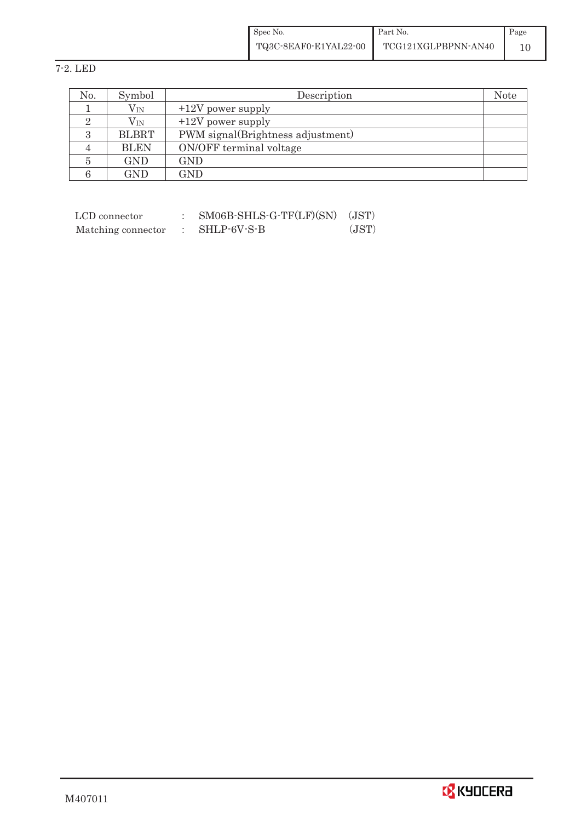| Spec No.              | Part No.            | Page |
|-----------------------|---------------------|------|
| TQ3C-8EAF0-E1YAL22-00 | TCG121XGLPBPNN-AN40 |      |

# 7-2. LED

| No.      | Symbol       | Description                       | <b>Note</b> |
|----------|--------------|-----------------------------------|-------------|
|          | $\rm V_{IN}$ | $+12V$ power supply               |             |
|          | $V_{\rm IN}$ | $+12V$ power supply               |             |
| $\Omega$ | <b>BLBRT</b> | PWM signal(Brightness adjustment) |             |
|          | <b>BLEN</b>  | ON/OFF terminal voltage           |             |
|          | <b>GND</b>   | GND                               |             |
|          | GND          | GND                               |             |

| LCD connector      | SM06B-SHLS-G-TF(LF)(SN) | (JST) |
|--------------------|-------------------------|-------|
| Matching connector | SHLP-6V-S-B             | (JST) |

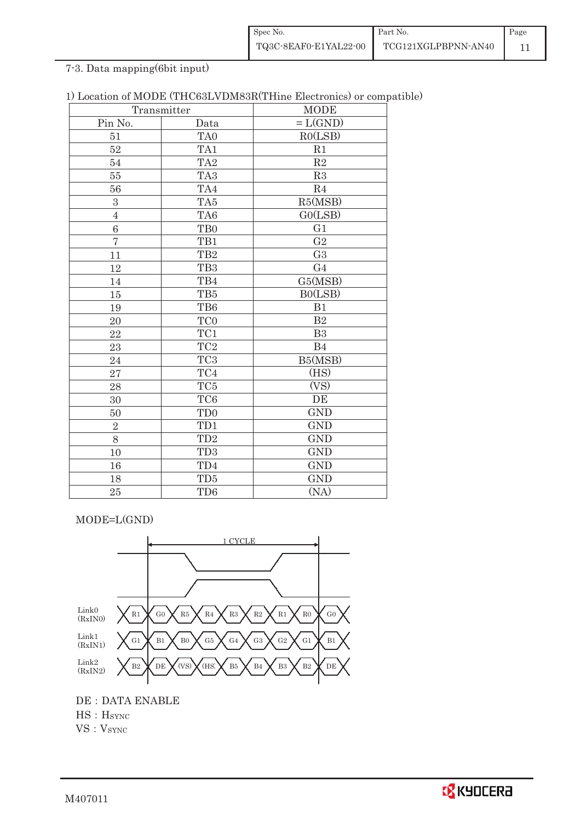| Spec No.              | Part No.            | Page |
|-----------------------|---------------------|------|
| TQ3C-8EAF0-E1YAL22-00 | TCG121XGLPBPNN-AN40 |      |

# 7-3. Data mapping(6bit input)

| 1) Location of MODE (THC63LVDM83R(THine Electronics) or compatible) |  |
|---------------------------------------------------------------------|--|
|---------------------------------------------------------------------|--|

|                | Transmitter     | <b>MODE</b>    |
|----------------|-----------------|----------------|
| Pin No.        | Data            | $=L(GND)$      |
| 51             | TA0             | RO(LSB)        |
| 52             | TA1             | R1             |
| 54             | TA <sub>2</sub> | $\mathbf{R}2$  |
| 55             | TA <sub>3</sub> | R3             |
| 56             | TA4             | R <sub>4</sub> |
| 3              | TA5             | R5(MSB)        |
| $\overline{4}$ | TA6             | GO(LSB)        |
| 6              | TB <sub>0</sub> | G1             |
| $\overline{7}$ | TB1             | G <sub>2</sub> |
| 11             | TB <sub>2</sub> | G <sub>3</sub> |
| 12             | TB <sub>3</sub> | G <sub>4</sub> |
| 14             | TB4             | G5(MSB)        |
| $15\,$         | TB5             | B0(LSB)        |
| 19             | TB6             | B1             |
| 20             | TC0             | $\mathbf{B}2$  |
| 22             | TC1             | B <sub>3</sub> |
| 23             | TC <sub>2</sub> | B <sub>4</sub> |
| 24             | TC <sub>3</sub> | B5(MSB)        |
| 27             | TC4             | (HS)           |
| 28             | TC <sub>5</sub> | (VS)           |
| 30             | TC <sub>6</sub> | DE             |
| 50             | TD <sub>0</sub> | <b>GND</b>     |
| $\overline{2}$ | TD1             | <b>GND</b>     |
| 8              | TD <sub>2</sub> | <b>GND</b>     |
| 10             | TD <sub>3</sub> | <b>GND</b>     |
| 16             | TD4             | <b>GND</b>     |
| 18             | TD5             | <b>GND</b>     |
| 25             | TD <sub>6</sub> | (NA)           |

MODE=L(GND)



DE : DATA ENABLE HS : H<sub>SYNC</sub> VS: V<sub>SYNC</sub>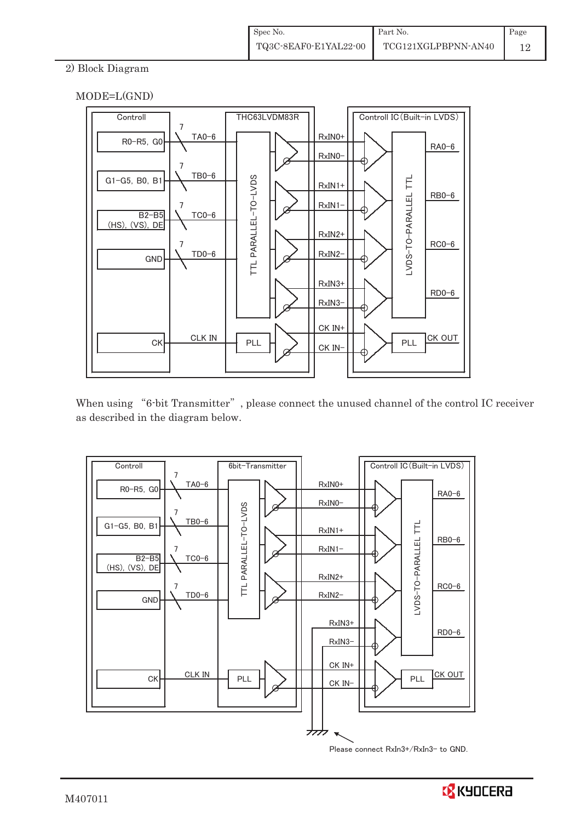## 2) Block Diagram





When using "6-bit Transmitter", please connect the unused channel of the control IC receiver as described in the diagram below.



Please connect RxIn3+/RxIn3- to GND.

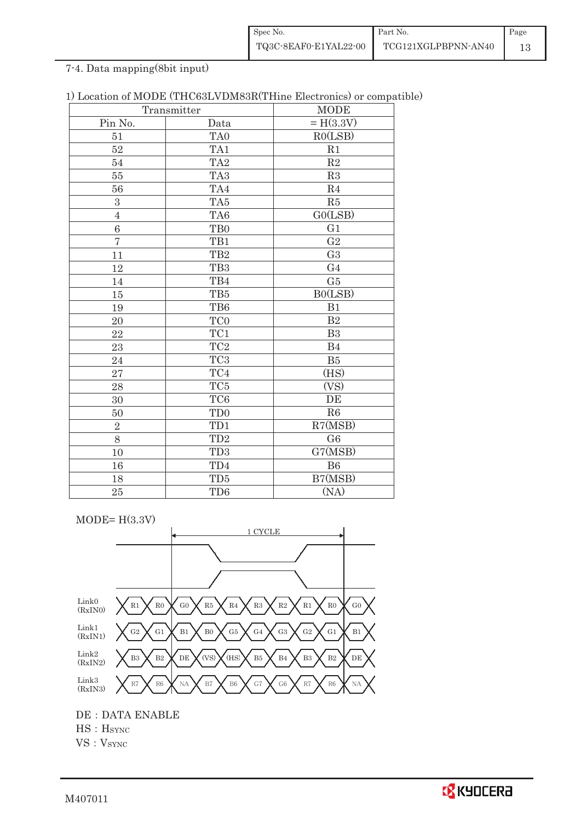| Spec No.              | Part No.            | Page |
|-----------------------|---------------------|------|
| TQ3C-8EAF0-E1YAL22-00 | TCG121XGLPBPNN-AN40 |      |

# 7-4. Data mapping(8bit input)

| Transmitter    |                 | <b>MODE</b>           |
|----------------|-----------------|-----------------------|
| Pin No.        | Data            | $= H(3.3V)$           |
| 51             | TA0             | RO(LSB)               |
| 52             | TA1             | R1                    |
| 54             | TA <sub>2</sub> | $\mathbf{R}2$         |
| 55             | TA <sub>3</sub> | R3                    |
| 56             | TA4             | R <sub>4</sub>        |
| 3              | TA5             | R5                    |
| $\overline{4}$ | TA6             | GO(LSB)               |
| 6              | TB <sub>0</sub> | G1                    |
| $\overline{7}$ | TB1             | $\operatorname{G2}$   |
| 11             | TB <sub>2</sub> | G <sub>3</sub>        |
| 12             | TB <sub>3</sub> | G <sub>4</sub>        |
| 14             | TB4             | G5                    |
| $15\,$         | TB5             | B0(LSB)               |
| 19             | TB6             | B1                    |
| 20             | TC0             | $\mathbf{B}2$         |
| 22             | $\rm TC1$       | B <sub>3</sub>        |
| 23             | TC <sub>2</sub> | B4                    |
| 24             | TC <sub>3</sub> | B5                    |
| 27             | TC4             | (HS)                  |
| 28             | TC <sub>5</sub> | (VS)                  |
| 30             | TC <sub>6</sub> | DE                    |
| 50             | TD <sub>0</sub> | R6                    |
| $\sqrt{2}$     | TD1             | R7(MSB)               |
| 8              | TD <sub>2</sub> | G6                    |
| 10             | TD <sub>3</sub> | $\overline{G}$ 7(MSB) |
| 16             | TD4             | <b>B6</b>             |
| 18             | TD5             | B7(MSB)               |
| 25             | TD <sub>6</sub> | (NA)                  |

 $MODE= H(3.3V)$ 



DE : DATA ENABLE

HS: H<sub>SYNC</sub>

VS: V<sub>SYNC</sub>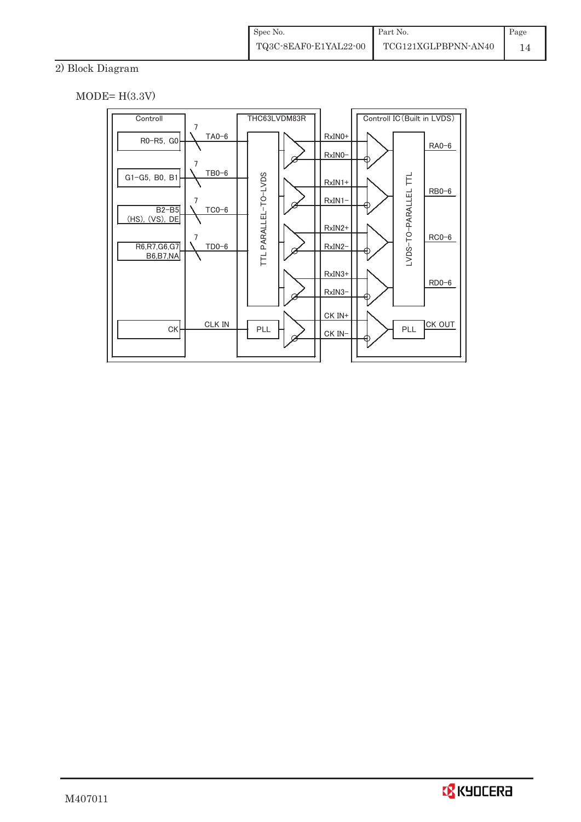# 2) Block Diagram

 $MODE= H(3.3V)$ 



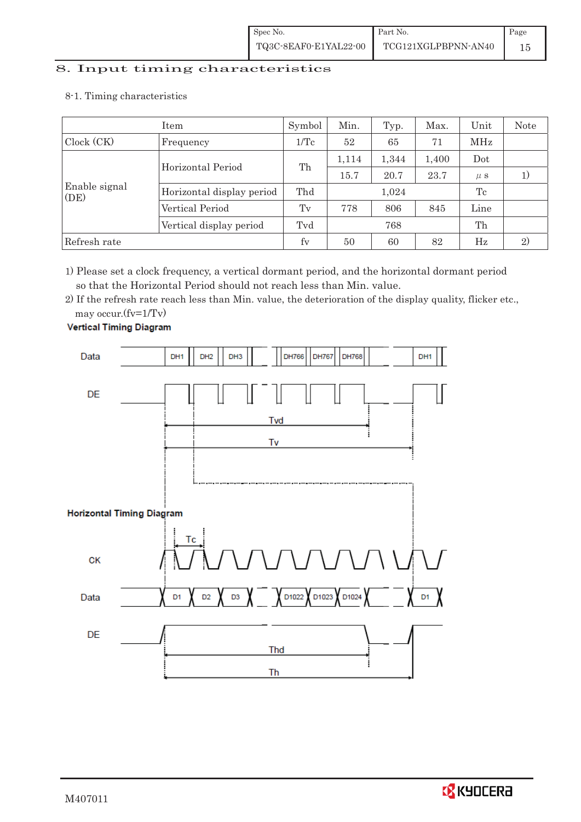# 8. Input timing characteristics  $\overline{a}$

8-1. Timing characteristics

|                       | Item                      | Symbol          | Min.  | Typ.  | Max.  | Unit    | Note |
|-----------------------|---------------------------|-----------------|-------|-------|-------|---------|------|
| Clock (CK)            | Frequency                 | $1/\mathrm{Tc}$ | 52    | 65    | 71    | MHz     |      |
|                       | Horizontal Period         | Th              | 1,114 | 1,344 | 1,400 | Dot     |      |
|                       |                           |                 | 15.7  | 20.7  | 23.7  | $\mu$ s |      |
| Enable signal<br>(DE) | Horizontal display period | Thd             | 1,024 |       | Tc    |         |      |
|                       | Vertical Period           | Tv              | 778   | 806   | 845   | Line    |      |
|                       | Vertical display period   | Tvd             |       | 768   |       | Th      |      |
| Refresh rate          |                           | fy              | 50    | 60    | 82    | Hz      | 2)   |

1) Please set a clock frequency, a vertical dormant period, and the horizontal dormant period so that the Horizontal Period should not reach less than Min. value.

2) If the refresh rate reach less than Min. value, the deterioration of the display quality, flicker etc., may occur.(fv=1/Tv)



**Vertical Timing Diagram** 

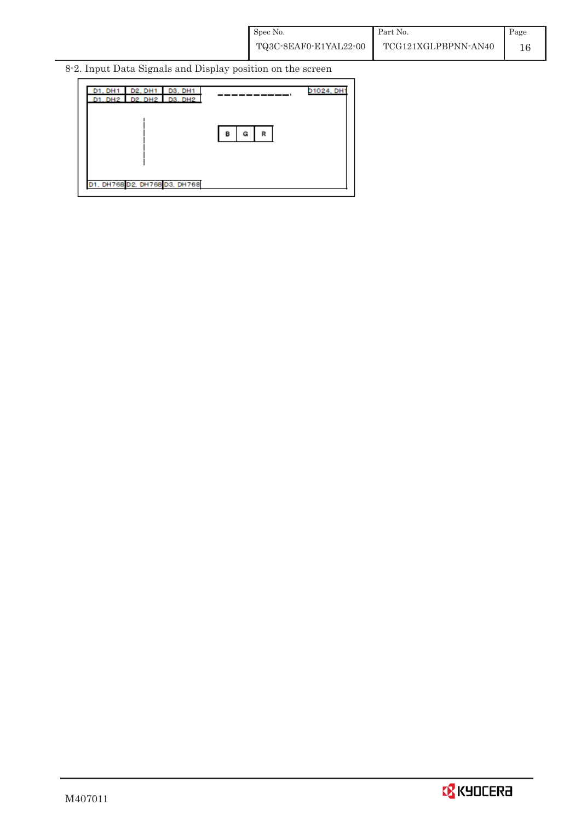8-2. Input Data Signals and Display position on the screen

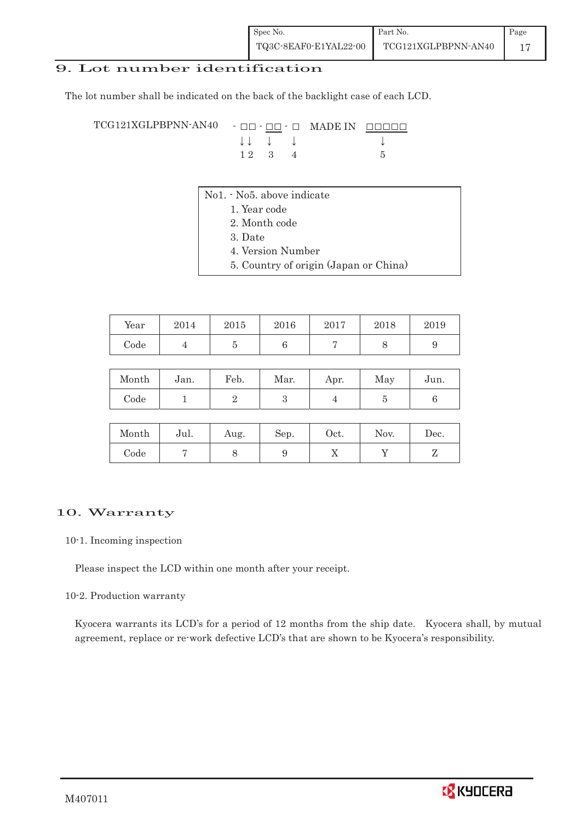## 9. Lot number identification

The lot number shall be indicated on the back of the backlight case of each LCD.

 $TCG121XGLPBPNN-AN40 -  $\Box\Box$  -  $\Box\Box$  -  $\Box$  MADE IN -  $\Box\Box\Box\Box$$  $\downarrow \downarrow \quad \downarrow \quad \downarrow \qquad \qquad \downarrow$  $1 2 3 4 5$ 

- No1. No5. above indicate
	- 1. Year code
		- 2. Month code
		- 3. Date
		- 4. Version Number
		- 5. Country of origin (Japan or China)

| Year | 2014 | 2015 | 2016 | 2017 | 2018 | 2019 |
|------|------|------|------|------|------|------|
| Code |      |      |      |      |      |      |

| Month | Jan. | Feb. | Mar. | Apr. | May | Jun. |
|-------|------|------|------|------|-----|------|
| Code  |      |      |      |      |     |      |

| Month | Jul. | Aug. | Sep. | $\rm Oct.$ | Nov. | Dec. |
|-------|------|------|------|------------|------|------|
| Code  |      | U    |      | ∡⊾         |      | ╯    |

## 10. Warranty

#### 10-1. Incoming inspection

Please inspect the LCD within one month after your receipt.

#### 10-2. Production warranty

 Kyocera warrants its LCD's for a period of 12 months from the ship date. Kyocera shall, by mutual agreement, replace or re-work defective LCD's that are shown to be Kyocera's responsibility.

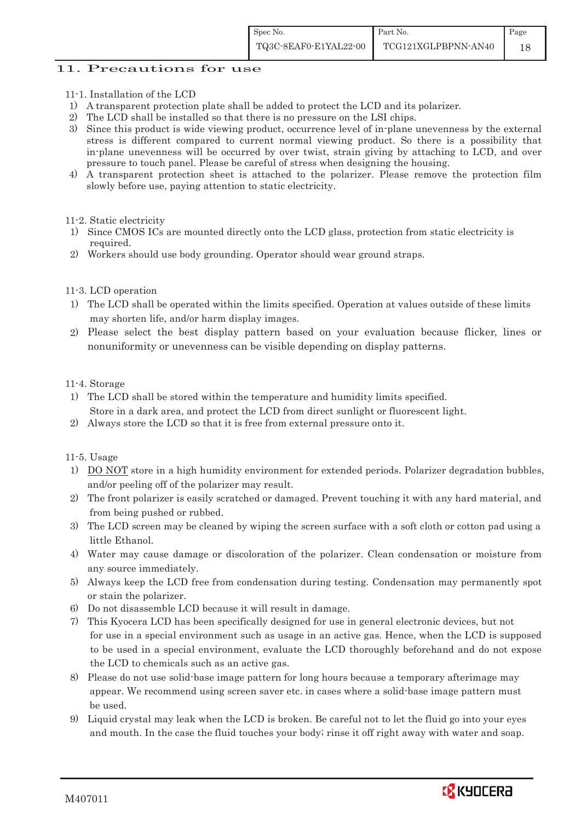## 11. Precautions for use

- 11-1. Installation of the LCD
- 1) A transparent protection plate shall be added to protect the LCD and its polarizer.
- 2) The LCD shall be installed so that there is no pressure on the LSI chips.
- 3) Since this product is wide viewing product, occurrence level of in-plane unevenness by the external stress is different compared to current normal viewing product. So there is a possibility that in-plane unevenness will be occurred by over twist, strain giving by attaching to LCD, and over pressure to touch panel. Please be careful of stress when designing the housing.
- 4) A transparent protection sheet is attached to the polarizer. Please remove the protection film slowly before use, paying attention to static electricity.
- 11-2. Static electricity
- 1) Since CMOS ICs are mounted directly onto the LCD glass, protection from static electricity is required.
- 2) Workers should use body grounding. Operator should wear ground straps.

#### 11-3. LCD operation

- 1) The LCD shall be operated within the limits specified. Operation at values outside of these limits may shorten life, and/or harm display images.
- 2) Please select the best display pattern based on your evaluation because flicker, lines or nonuniformity or unevenness can be visible depending on display patterns.

#### 11-4. Storage

- 1) The LCD shall be stored within the temperature and humidity limits specified. Store in a dark area, and protect the LCD from direct sunlight or fluorescent light.
- 2) Always store the LCD so that it is free from external pressure onto it.

#### 11-5. Usage

- 1) DO NOT store in a high humidity environment for extended periods. Polarizer degradation bubbles, and/or peeling off of the polarizer may result.
- 2) The front polarizer is easily scratched or damaged. Prevent touching it with any hard material, and from being pushed or rubbed.
- 3) The LCD screen may be cleaned by wiping the screen surface with a soft cloth or cotton pad using a little Ethanol.
- 4) Water may cause damage or discoloration of the polarizer. Clean condensation or moisture from any source immediately.
- 5) Always keep the LCD free from condensation during testing. Condensation may permanently spot or stain the polarizer.
- 6) Do not disassemble LCD because it will result in damage.
- 7) This Kyocera LCD has been specifically designed for use in general electronic devices, but not for use in a special environment such as usage in an active gas. Hence, when the LCD is supposed to be used in a special environment, evaluate the LCD thoroughly beforehand and do not expose the LCD to chemicals such as an active gas.
- 8) Please do not use solid-base image pattern for long hours because a temporary afterimage may appear. We recommend using screen saver etc. in cases where a solid-base image pattern must be used.
- 9) Liquid crystal may leak when the LCD is broken. Be careful not to let the fluid go into your eyes and mouth. In the case the fluid touches your body; rinse it off right away with water and soap.

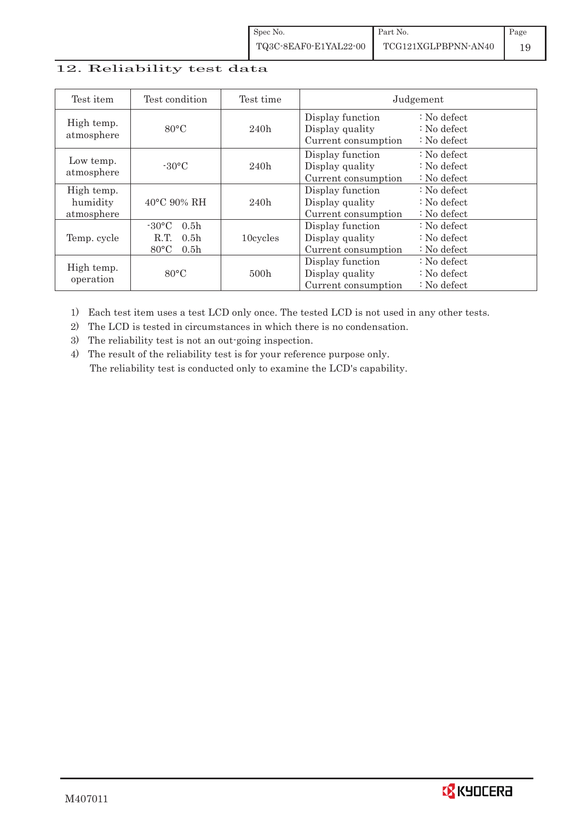| Spec No.              | Part No.            | Page |
|-----------------------|---------------------|------|
| TQ3C-8EAF0-E1YAL22-00 | TCG121XGLPBPNN-AN40 |      |

### 12. Reliability test data

| Test item                            | Test condition                                                                                        | Test time |                                                            | Judgement                                       |
|--------------------------------------|-------------------------------------------------------------------------------------------------------|-----------|------------------------------------------------------------|-------------------------------------------------|
| High temp.<br>atmosphere             | $80^{\circ}$ C                                                                                        | 240h      | Display function<br>Display quality<br>Current consumption | $: No$ defect<br>$: No$ defect<br>$: No$ defect |
| Low temp.<br>atmosphere              | $-30^{\circ}$ C                                                                                       | 240h      | Display function<br>Display quality<br>Current consumption | $: No$ defect<br>$: No$ defect<br>$: No$ defect |
| High temp.<br>humidity<br>atmosphere | $40^{\circ}$ C 90% RH                                                                                 | 240h      | Display function<br>Display quality<br>Current consumption | : No defect<br>$: No$ defect<br>$: No$ defect   |
| Temp. cycle                          | $-30^{\circ}$ C<br>0.5 <sub>h</sub><br>0.5 <sub>h</sub><br>R.T.<br>$80^{\circ}$ C<br>0.5 <sub>h</sub> | 10cycles  | Display function<br>Display quality<br>Current consumption | $: No$ defect<br>$: No$ defect<br>$: No$ defect |
| High temp.<br>operation              | $80^{\circ}$ C                                                                                        | 500h      | Display function<br>Display quality<br>Current consumption | $: No$ defect<br>$: No$ defect<br>$: No$ defect |

1) Each test item uses a test LCD only once. The tested LCD is not used in any other tests.

2) The LCD is tested in circumstances in which there is no condensation.

3) The reliability test is not an out-going inspection.

4) The result of the reliability test is for your reference purpose only. The reliability test is conducted only to examine the LCD's capability.

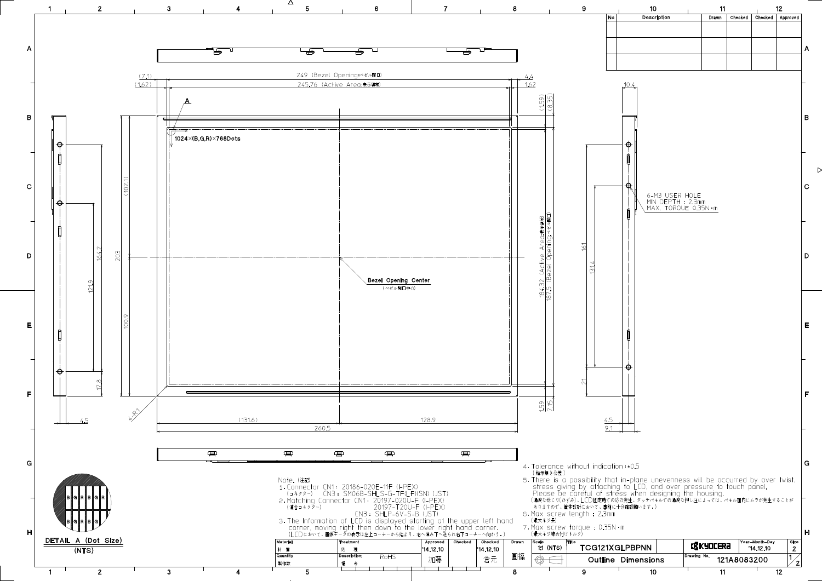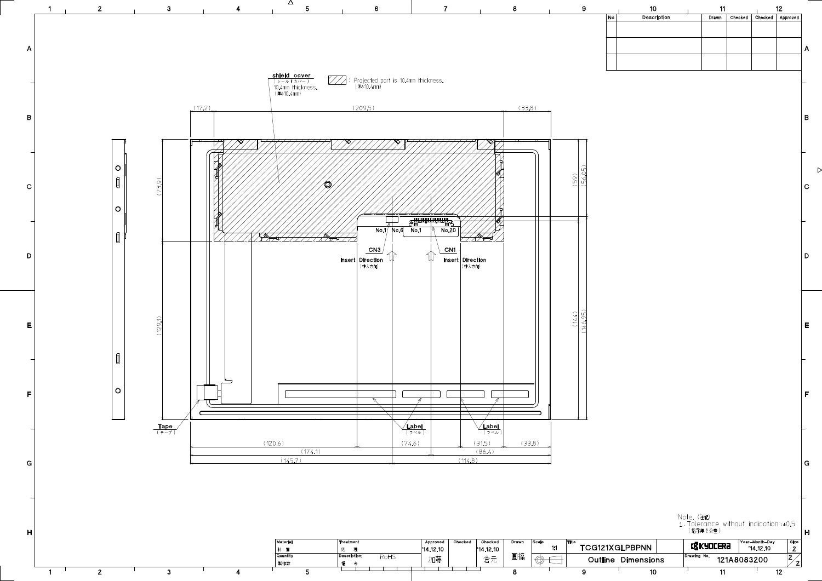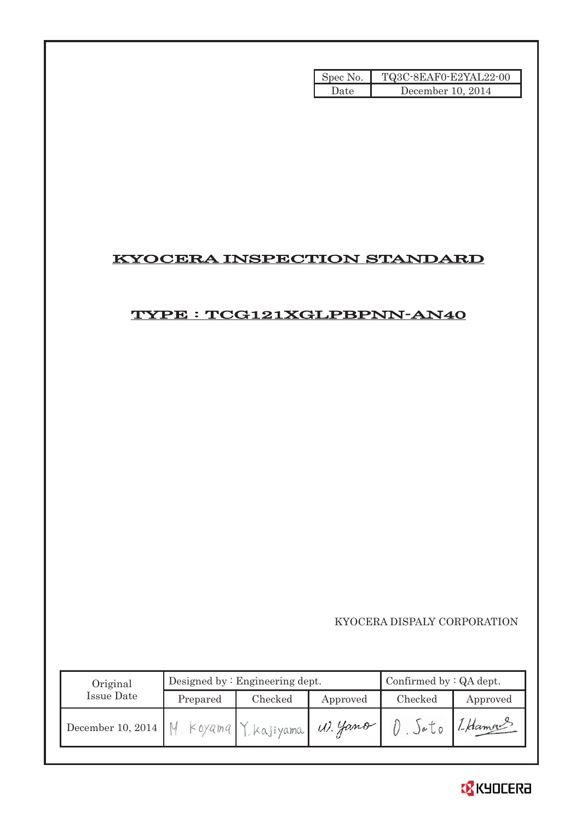| Spec No. | TQ3C-8EAF0-E2YAL22-00 |
|----------|-----------------------|
| Date.    | December 10, 2014     |

# KYOCERA INSPECTION STANDARD

# TYPE : TCG121XGLPBPNN-AN40

KYOCERA DISPALY CORPORATION

| Original          | Designed by: $Engineering$ dept. |                    |          | Confirmed by $:QA$ dept. |          |  |
|-------------------|----------------------------------|--------------------|----------|--------------------------|----------|--|
| Issue Date        | Prepared                         | Checked            | Approved | Checked                  | Approved |  |
| December 10, 2014 |                                  | I Koyama Ykajiyama | W. Yano  | )e <sub>0</sub>          | 1-Hamour |  |

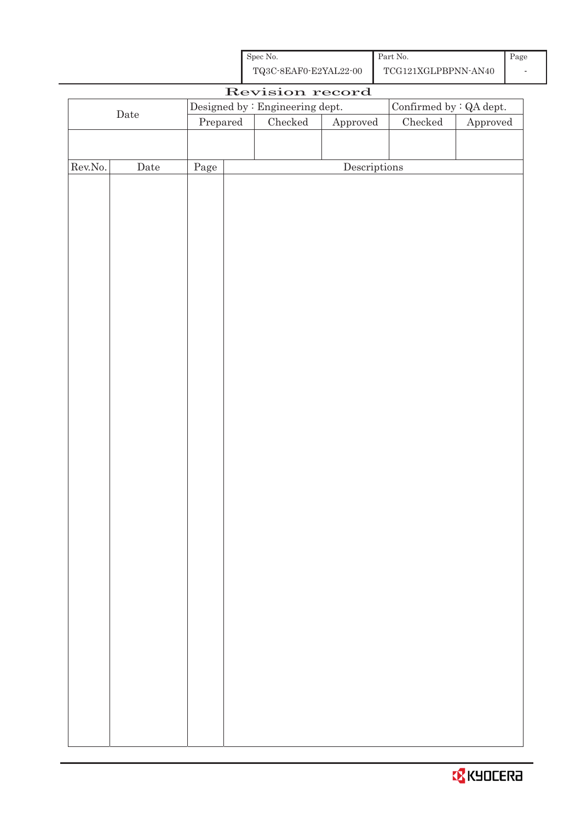| Spec No.              | Part No.            |  |
|-----------------------|---------------------|--|
| TQ3C-8EAF0-E2YAL22-00 | TCG121XGLPBPNN-AN40 |  |

|         |                                                                   |          | Revision record |              |               |                        |
|---------|-------------------------------------------------------------------|----------|-----------------|--------------|---------------|------------------------|
|         | Confirmed by $\colon$ QA dept.<br>Designed by : Engineering dept. |          |                 |              |               |                        |
|         | $\rm{Date}$                                                       | Prepared | $C$ hecked      | Approved     | $\rm Checked$ | ${\Large\bf Approved}$ |
|         |                                                                   |          |                 |              |               |                        |
|         |                                                                   |          |                 |              |               |                        |
| Rev.No. | $\rm{\textbf{Date}}$                                              | Page     |                 | Descriptions |               |                        |
|         |                                                                   |          |                 |              |               |                        |
|         |                                                                   |          |                 |              |               |                        |
|         |                                                                   |          |                 |              |               |                        |
|         |                                                                   |          |                 |              |               |                        |
|         |                                                                   |          |                 |              |               |                        |
|         |                                                                   |          |                 |              |               |                        |
|         |                                                                   |          |                 |              |               |                        |
|         |                                                                   |          |                 |              |               |                        |
|         |                                                                   |          |                 |              |               |                        |
|         |                                                                   |          |                 |              |               |                        |
|         |                                                                   |          |                 |              |               |                        |
|         |                                                                   |          |                 |              |               |                        |
|         |                                                                   |          |                 |              |               |                        |
|         |                                                                   |          |                 |              |               |                        |
|         |                                                                   |          |                 |              |               |                        |
|         |                                                                   |          |                 |              |               |                        |
|         |                                                                   |          |                 |              |               |                        |
|         |                                                                   |          |                 |              |               |                        |
|         |                                                                   |          |                 |              |               |                        |
|         |                                                                   |          |                 |              |               |                        |
|         |                                                                   |          |                 |              |               |                        |
|         |                                                                   |          |                 |              |               |                        |
|         |                                                                   |          |                 |              |               |                        |
|         |                                                                   |          |                 |              |               |                        |
|         |                                                                   |          |                 |              |               |                        |
|         |                                                                   |          |                 |              |               |                        |
|         |                                                                   |          |                 |              |               |                        |
|         |                                                                   |          |                 |              |               |                        |
|         |                                                                   |          |                 |              |               |                        |
|         |                                                                   |          |                 |              |               |                        |
|         |                                                                   |          |                 |              |               |                        |
|         |                                                                   |          |                 |              |               |                        |
|         |                                                                   |          |                 |              |               |                        |
|         |                                                                   |          |                 |              |               |                        |
|         |                                                                   |          |                 |              |               |                        |
|         |                                                                   |          |                 |              |               |                        |
|         |                                                                   |          |                 |              |               |                        |
|         |                                                                   |          |                 |              |               |                        |

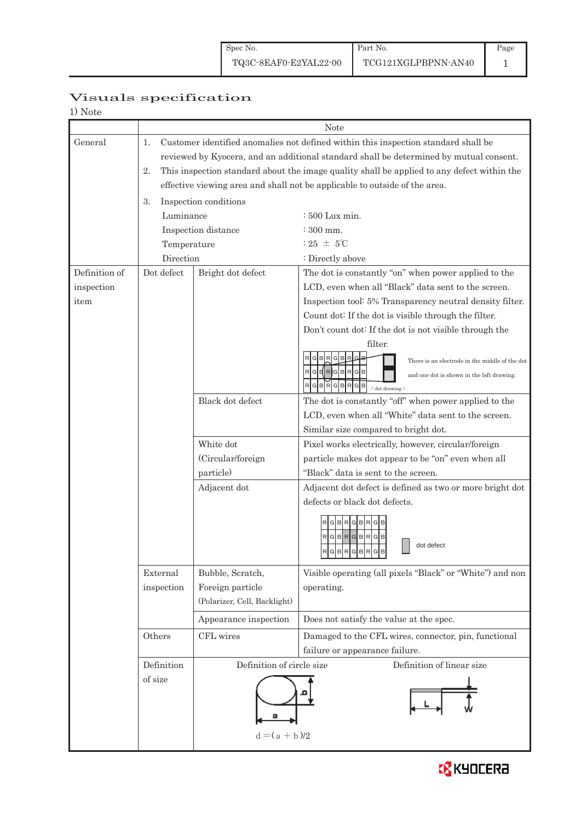# Page

# Visuals specification

|--|--|

|               | <b>Note</b>                             |                              |                                                                                                                                                                                                                                                                                                                                                                                 |  |  |  |
|---------------|-----------------------------------------|------------------------------|---------------------------------------------------------------------------------------------------------------------------------------------------------------------------------------------------------------------------------------------------------------------------------------------------------------------------------------------------------------------------------|--|--|--|
| General       | 1.<br>2.<br>3.<br>Luminance             | Inspection conditions        | Customer identified anomalies not defined within this inspection standard shall be<br>reviewed by Kyocera, and an additional standard shall be determined by mutual consent.<br>This inspection standard about the image quality shall be applied to any defect within the<br>effective viewing area and shall not be applicable to outside of the area.<br>$\div 500$ Lux min. |  |  |  |
|               |                                         | Inspection distance          | $\div 300$ mm.                                                                                                                                                                                                                                                                                                                                                                  |  |  |  |
|               | Temperature                             |                              | : 25 $\pm$ 5°C                                                                                                                                                                                                                                                                                                                                                                  |  |  |  |
|               | Direction                               |                              | : Directly above                                                                                                                                                                                                                                                                                                                                                                |  |  |  |
| Definition of | Dot defect                              | Bright dot defect            | The dot is constantly "on" when power applied to the                                                                                                                                                                                                                                                                                                                            |  |  |  |
| inspection    |                                         |                              | LCD, even when all "Black" data sent to the screen.                                                                                                                                                                                                                                                                                                                             |  |  |  |
| item          |                                         |                              | Inspection tool: 5% Transparency neutral density filter.                                                                                                                                                                                                                                                                                                                        |  |  |  |
|               |                                         |                              | Count dot: If the dot is visible through the filter.                                                                                                                                                                                                                                                                                                                            |  |  |  |
|               |                                         |                              | Don't count dot: If the dot is not visible through the                                                                                                                                                                                                                                                                                                                          |  |  |  |
|               |                                         |                              | filter.                                                                                                                                                                                                                                                                                                                                                                         |  |  |  |
|               |                                         |                              | There is an electrode in the middle of the dot                                                                                                                                                                                                                                                                                                                                  |  |  |  |
|               |                                         |                              | $RG$ $RG$ $RG$ $BRG$ $B$<br>and one dot is shown in the left drawing.                                                                                                                                                                                                                                                                                                           |  |  |  |
|               |                                         |                              | G  B  R  G  B  G  B<br>$<$ dot drawing $>$                                                                                                                                                                                                                                                                                                                                      |  |  |  |
|               |                                         | Black dot defect             | The dot is constantly "off" when power applied to the                                                                                                                                                                                                                                                                                                                           |  |  |  |
|               |                                         |                              | LCD, even when all "White" data sent to the screen.                                                                                                                                                                                                                                                                                                                             |  |  |  |
|               |                                         |                              | Similar size compared to bright dot.                                                                                                                                                                                                                                                                                                                                            |  |  |  |
|               |                                         | White dot                    | Pixel works electrically, however, circular/foreign                                                                                                                                                                                                                                                                                                                             |  |  |  |
|               |                                         | (Circular/foreign            | particle makes dot appear to be "on" even when all                                                                                                                                                                                                                                                                                                                              |  |  |  |
|               |                                         | particle)                    | "Black" data is sent to the screen.                                                                                                                                                                                                                                                                                                                                             |  |  |  |
|               |                                         | Adjacent dot                 | Adjacent dot defect is defined as two or more bright dot                                                                                                                                                                                                                                                                                                                        |  |  |  |
|               |                                         |                              | defects or black dot defects.                                                                                                                                                                                                                                                                                                                                                   |  |  |  |
|               |                                         |                              | $G$ $B$ $R$ $G$ $B$ $R$<br>R[G B R[G B R[G]<br>dot defect<br>$R$ G $B$ R $G$ B $R$ G $B$<br><b>B</b><br>الماحات الماحات المناسبا                                                                                                                                                                                                                                                |  |  |  |
|               | External                                | Bubble, Scratch,             | Visible operating (all pixels "Black" or "White") and non                                                                                                                                                                                                                                                                                                                       |  |  |  |
|               | inspection                              | Foreign particle             | operating.                                                                                                                                                                                                                                                                                                                                                                      |  |  |  |
|               |                                         | (Polarizer, Cell, Backlight) |                                                                                                                                                                                                                                                                                                                                                                                 |  |  |  |
|               |                                         | Appearance inspection        | Does not satisfy the value at the spec.                                                                                                                                                                                                                                                                                                                                         |  |  |  |
|               | Others                                  | CFL wires                    | Damaged to the CFL wires, connector, pin, functional                                                                                                                                                                                                                                                                                                                            |  |  |  |
|               |                                         |                              | failure or appearance failure.                                                                                                                                                                                                                                                                                                                                                  |  |  |  |
|               | Definition<br>Definition of circle size |                              | Definition of linear size                                                                                                                                                                                                                                                                                                                                                       |  |  |  |
|               | of size                                 | $d = (a + b)/2$              |                                                                                                                                                                                                                                                                                                                                                                                 |  |  |  |